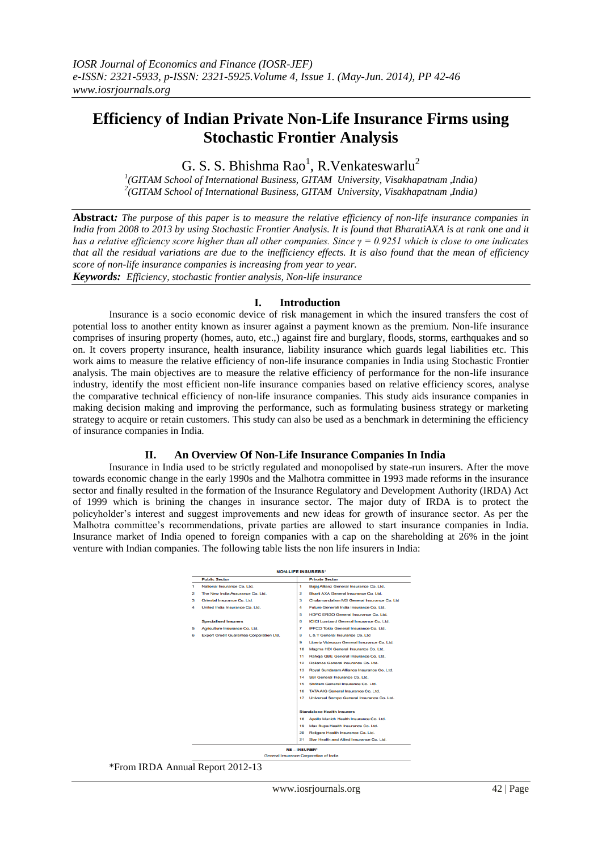# **Efficiency of Indian Private Non-Life Insurance Firms using Stochastic Frontier Analysis**

G. S. S. Bhishma Rao<sup>1</sup>, R. Venkateswarlu<sup>2</sup>

*1 (GITAM School of International Business, GITAM University, Visakhapatnam ,India) 2 (GITAM School of International Business, GITAM University, Visakhapatnam ,India)*

**Abstract***: The purpose of this paper is to measure the relative efficiency of non-life insurance companies in India from 2008 to 2013 by using Stochastic Frontier Analysis. It is found that BharatiAXA is at rank one and it has a relative efficiency score higher than all other companies. Since γ = 0.9251 which is close to one indicates that all the residual variations are due to the inefficiency effects. It is also found that the mean of efficiency score of non-life insurance companies is increasing from year to year.* 

*Keywords: Efficiency, stochastic frontier analysis, Non-life insurance*

## **I. Introduction**

Insurance is a socio economic device of risk management in which the insured transfers the cost of potential loss to another entity known as insurer against a payment known as the premium. Non-life insurance comprises of insuring property (homes, auto, etc.,) against fire and burglary, floods, storms, earthquakes and so on. It covers property insurance, health insurance, liability insurance which guards legal liabilities etc. This work aims to measure the relative efficiency of non-life insurance companies in India using Stochastic Frontier analysis. The main objectives are to measure the relative efficiency of performance for the non-life insurance industry, identify the most efficient non-life insurance companies based on relative efficiency scores, analyse the comparative technical efficiency of non-life insurance companies. This study aids insurance companies in making decision making and improving the performance, such as formulating business strategy or marketing strategy to acquire or retain customers. This study can also be used as a benchmark in determining the efficiency of insurance companies in India.

## **II. An Overview Of Non-Life Insurance Companies In India**

Insurance in India used to be strictly regulated and monopolised by state-run insurers. After the move towards economic change in the early 1990s and the Malhotra committee in 1993 made reforms in the insurance sector and finally resulted in the formation of the Insurance Regulatory and Development Authority (IRDA) Act of 1999 which is brining the changes in insurance sector. The major duty of IRDA is to protect the policyholder's interest and suggest improvements and new ideas for growth of insurance sector. As per the Malhotra committee's recommendations, private parties are allowed to start insurance companies in India. Insurance market of India opened to foreign companies with a cap on the shareholding at 26% in the joint venture with Indian companies. The following table lists the non life insurers in India:



\*From IRDA Annual Report 2012-13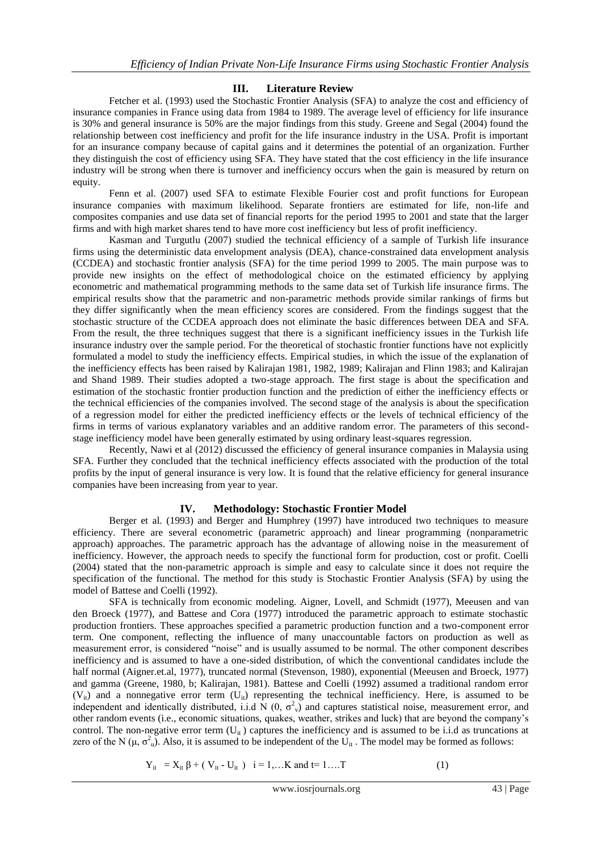## **III. Literature Review**

Fetcher et al. (1993) used the Stochastic Frontier Analysis (SFA) to analyze the cost and efficiency of insurance companies in France using data from 1984 to 1989. The average level of efficiency for life insurance is 30% and general insurance is 50% are the major findings from this study. Greene and Segal (2004) found the relationship between cost inefficiency and profit for the life insurance industry in the USA. Profit is important for an insurance company because of capital gains and it determines the potential of an organization. Further they distinguish the cost of efficiency using SFA. They have stated that the cost efficiency in the life insurance industry will be strong when there is turnover and inefficiency occurs when the gain is measured by return on equity.

Fenn et al. (2007) used SFA to estimate Flexible Fourier cost and profit functions for European insurance companies with maximum likelihood. Separate frontiers are estimated for life, non-life and composites companies and use data set of financial reports for the period 1995 to 2001 and state that the larger firms and with high market shares tend to have more cost inefficiency but less of profit inefficiency.

Kasman and Turgutlu (2007) studied the technical efficiency of a sample of Turkish life insurance firms using the deterministic data envelopment analysis (DEA), chance-constrained data envelopment analysis (CCDEA) and stochastic frontier analysis (SFA) for the time period 1999 to 2005. The main purpose was to provide new insights on the effect of methodological choice on the estimated efficiency by applying econometric and mathematical programming methods to the same data set of Turkish life insurance firms. The empirical results show that the parametric and non-parametric methods provide similar rankings of firms but they differ significantly when the mean efficiency scores are considered. From the findings suggest that the stochastic structure of the CCDEA approach does not eliminate the basic differences between DEA and SFA. From the result, the three techniques suggest that there is a significant inefficiency issues in the Turkish life insurance industry over the sample period. For the theoretical of stochastic frontier functions have not explicitly formulated a model to study the inefficiency effects. Empirical studies, in which the issue of the explanation of the inefficiency effects has been raised by Kalirajan 1981, 1982, 1989; Kalirajan and Flinn 1983; and Kalirajan and Shand 1989. Their studies adopted a two-stage approach. The first stage is about the specification and estimation of the stochastic frontier production function and the prediction of either the inefficiency effects or the technical efficiencies of the companies involved. The second stage of the analysis is about the specification of a regression model for either the predicted inefficiency effects or the levels of technical efficiency of the firms in terms of various explanatory variables and an additive random error. The parameters of this secondstage inefficiency model have been generally estimated by using ordinary least-squares regression.

Recently, Nawi et al (2012) discussed the efficiency of general insurance companies in Malaysia using SFA. Further they concluded that the technical inefficiency effects associated with the production of the total profits by the input of general insurance is very low. It is found that the relative efficiency for general insurance companies have been increasing from year to year.

## **IV. Methodology: Stochastic Frontier Model**

Berger et al. (1993) and Berger and Humphrey (1997) have introduced two techniques to measure efficiency. There are several econometric (parametric approach) and linear programming (nonparametric approach) approaches. The parametric approach has the advantage of allowing noise in the measurement of inefficiency. However, the approach needs to specify the functional form for production, cost or profit. Coelli (2004) stated that the non-parametric approach is simple and easy to calculate since it does not require the specification of the functional. The method for this study is Stochastic Frontier Analysis (SFA) by using the model of Battese and Coelli (1992).

SFA is technically from economic modeling. Aigner, Lovell, and Schmidt (1977), Meeusen and van den Broeck (1977), and Battese and Cora (1977) introduced the parametric approach to estimate stochastic production frontiers. These approaches specified a parametric production function and a two-component error term. One component, reflecting the influence of many unaccountable factors on production as well as measurement error, is considered "noise" and is usually assumed to be normal. The other component describes inefficiency and is assumed to have a one-sided distribution, of which the conventional candidates include the half normal (Aigner.et.al, 1977), truncated normal (Stevenson, 1980), exponential (Meeusen and Broeck, 1977) and gamma (Greene, 1980, b; Kalirajan, 1981). Battese and Coelli (1992) assumed a traditional random error  $(V_{ii})$  and a nonnegative error term  $(U_{ii})$  representing the technical inefficiency. Here, is assumed to be independent and identically distributed, i.i.d N  $(0, \sigma_v^2)$  and captures statistical noise, measurement error, and other random events (i.e., economic situations, quakes, weather, strikes and luck) that are beyond the company's control. The non-negative error term  $(U_{it})$  captures the inefficiency and is assumed to be i.i.d as truncations at zero of the N ( $\mu$ ,  $\sigma_u^2$ ). Also, it is assumed to be independent of the  $U_{it}$ . The model may be formed as follows:

$$
Y_{it} = X_{it} \beta + (V_{it} - U_{it}) \quad i = 1,...K \text{ and } t = 1,...T
$$
 (1)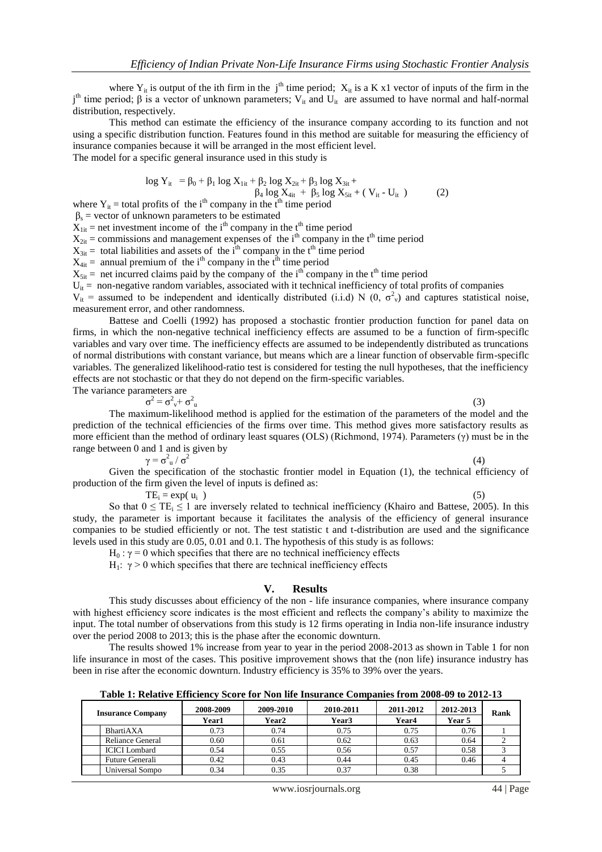where  $Y_{it}$  is output of the ith firm in the j<sup>th</sup> time period;  $X_{it}$  is a K x1 vector of inputs of the firm in the  $j<sup>th</sup>$  time period; β is a vector of unknown parameters; V<sub>it</sub> and U<sub>it</sub> are assumed to have normal and half-normal distribution, respectively.

This method can estimate the efficiency of the insurance company according to its function and not using a specific distribution function. Features found in this method are suitable for measuring the efficiency of insurance companies because it will be arranged in the most efficient level.

The model for a specific general insurance used in this study is

$$
\log Y_{it} = \beta_0 + \beta_1 \log X_{1it} + \beta_2 \log X_{2it} + \beta_3 \log X_{3it} +
$$
  
\n
$$
\beta_4 \log X_{4it} + \beta_5 \log X_{5it} + (V_{it} - U_{it})
$$
 (2)

where  $Y_{it}$  = total profits of the i<sup>th</sup> company in the t<sup>th</sup> time period

 $\beta_s$  = vector of unknown parameters to be estimated

 $X_{1it}$  = net investment income of the i<sup>th</sup> company in the t<sup>th</sup> time period

 $X_{2it}$  = commissions and management expenses of the i<sup>th</sup> company in the t<sup>th</sup> time period

 $X_{3it}$  = total liabilities and assets of the i<sup>th</sup> company in the t<sup>th</sup> time period

 $X_{4it}$  = annual premium of the i<sup>th</sup> company in the t<sup>th</sup> time period

 $X_{\text{5it}}$  = net incurred claims paid by the company of the i<sup>th</sup> company in the t<sup>th</sup> time period

 $U_{it}$  = non-negative random variables, associated with it technical inefficiency of total profits of companies

 $V_{it}$  = assumed to be independent and identically distributed (i.i.d) N (0,  $\sigma^2$ <sub>v</sub>) and captures statistical noise, measurement error, and other randomness.

Battese and Coelli (1992) has proposed a stochastic frontier production function for panel data on firms, in which the non-negative technical inefficiency effects are assumed to be a function of firm-speciflc variables and vary over time. The inefficiency effects are assumed to be independently distributed as truncations of normal distributions with constant variance, but means which are a linear function of observable firm-speciflc variables. The generalized likelihood-ratio test is considered for testing the null hypotheses, that the inefficiency effects are not stochastic or that they do not depend on the firm-specific variables. The variance parameters are

$$
\sigma^2 = \sigma_{v}^2 + \sigma_{u}^2
$$

 $\mathbf{u}$  (3)

The maximum-likelihood method is applied for the estimation of the parameters of the model and the prediction of the technical efficiencies of the firms over time. This method gives more satisfactory results as more efficient than the method of ordinary least squares (OLS) (Richmond, 1974). Parameters (γ) must be in the range between 0 and 1 and is given by

 $γ = σ<sup>2</sup><sub>u</sub> / σ<sup>2</sup>$ 

(4)

Given the specification of the stochastic frontier model in Equation (1), the technical efficiency of production of the firm given the level of inputs is defined as:

 $TE_i = exp(u_i)$  $\qquad \qquad \tag{5}$ So that  $0 \leq TE_i \leq 1$  are inversely related to technical inefficiency (Khairo and Battese, 2005). In this study, the parameter is important because it facilitates the analysis of the efficiency of general insurance companies to be studied efficiently or not. The test statistic t and t-distribution are used and the significance levels used in this study are 0.05, 0.01 and 0.1. The hypothesis of this study is as follows:

 $H<sub>0</sub>$ : γ = 0 which specifies that there are no technical inefficiency effects

H<sub>1</sub>:  $γ > 0$  which specifies that there are technical inefficiency effects

#### **V. Results**

This study discusses about efficiency of the non - life insurance companies, where insurance company with highest efficiency score indicates is the most efficient and reflects the company's ability to maximize the input. The total number of observations from this study is 12 firms operating in India non-life insurance industry over the period 2008 to 2013; this is the phase after the economic downturn.

The results showed 1% increase from year to year in the period 2008-2013 as shown in Table 1 for non life insurance in most of the cases. This positive improvement shows that the (non life) insurance industry has been in rise after the economic downturn. Industry efficiency is 35% to 39% over the years.

**Table 1: Relative Efficiency Score for Non life Insurance Companies from 2008-09 to 2012-13**

| <b>Insurance Company</b> | 2008-2009<br>Year1 | 2009-2010<br><b>Year2</b> | 2010-2011<br>Year3 | 2011-2012<br>Year4 | 2012-2013<br>Year 5 | Rank |
|--------------------------|--------------------|---------------------------|--------------------|--------------------|---------------------|------|
| BhartiAXA                | 0.73               | 0.74                      | 0.75               | 0.75               | 0.76                |      |
| Reliance General         | 0.60               | 0.61                      | 0.62               | 0.63               | 0.64                |      |
| <b>ICICI</b> Lombard     | 0.54               | 0.55                      | 0.56               | 0.57               | 0.58                |      |
| Future Generali          | 0.42               | 0.43                      | 0.44               | 0.45               | 0.46                |      |
| Universal Sompo          | 0.34               | 0.35                      | 0.37               | 0.38               |                     |      |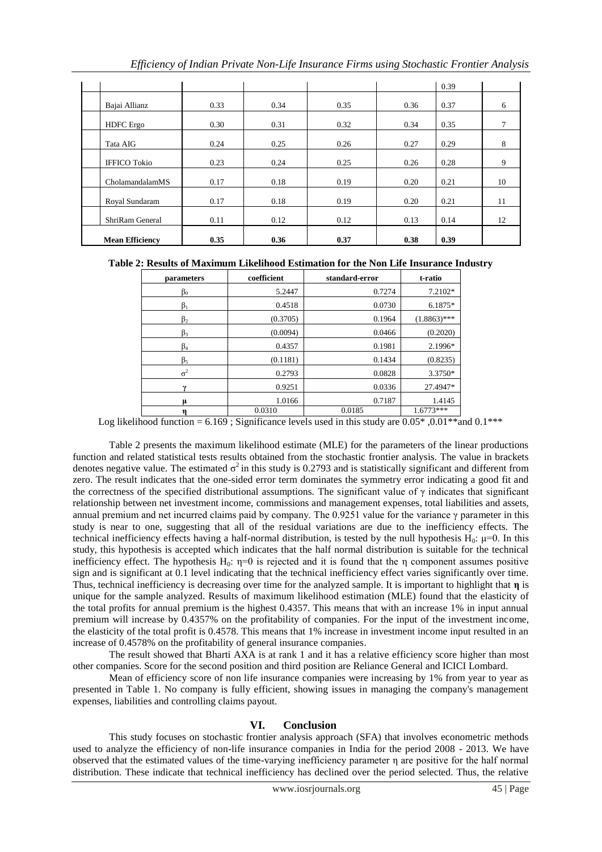|          |                        |      |      |      |      | 0.39 |    |
|----------|------------------------|------|------|------|------|------|----|
|          | Bajai Allianz          | 0.33 | 0.34 | 0.35 | 0.36 | 0.37 | 6  |
|          | <b>HDFC</b> Ergo       | 0.30 | 0.31 | 0.32 | 0.34 | 0.35 | 7  |
| Tata AIG |                        | 0.24 | 0.25 | 0.26 | 0.27 | 0.29 | 8  |
|          | <b>IFFICO Tokio</b>    | 0.23 | 0.24 | 0.25 | 0.26 | 0.28 | 9  |
|          | CholamandalamMS        | 0.17 | 0.18 | 0.19 | 0.20 | 0.21 | 10 |
|          | Royal Sundaram         | 0.17 | 0.18 | 0.19 | 0.20 | 0.21 | 11 |
|          | ShriRam General        | 0.11 | 0.12 | 0.12 | 0.13 | 0.14 | 12 |
|          | <b>Mean Efficiency</b> | 0.35 | 0.36 | 0.37 | 0.38 | 0.39 |    |

# **Table 2: Results of Maximum Likelihood Estimation for the Non Life Insurance Industry**

| parameters | coefficient | standard-error | t-ratio        |  |
|------------|-------------|----------------|----------------|--|
| $\beta_0$  | 5.2447      | 0.7274         | $7.2102*$      |  |
| $\beta_1$  | 0.4518      | 0.0730         | $6.1875*$      |  |
| $\beta_2$  | (0.3705)    | 0.1964         | $(1.8863)$ *** |  |
| $\beta_3$  | (0.0094)    | 0.0466         | (0.2020)       |  |
| $\beta_4$  | 0.4357      | 0.1981         | 2.1996*        |  |
| $\beta_5$  | (0.1181)    | 0.1434         | (0.8235)       |  |
| $\sigma^2$ | 0.2793      | 0.0828         | 3.3750*        |  |
| v          | 0.9251      | 0.0336         | 27.4947*       |  |
| μ          | 1.0166      | 0.7187         | 1.4145         |  |
| η          | 0.0310      | 0.0185         | $1.6773***$    |  |

Log likelihood function = 6.169 ; Significance levels used in this study are 0.05\* ,0.01\*\*and 0.1\*\*\*

Table 2 presents the maximum likelihood estimate (MLE) for the parameters of the linear productions function and related statistical tests results obtained from the stochastic frontier analysis. The value in brackets denotes negative value. The estimated  $\sigma^2$  in this study is 0.2793 and is statistically significant and different from zero. The result indicates that the one-sided error term dominates the symmetry error indicating a good fit and the correctness of the specified distributional assumptions. The significant value of  $\gamma$  indicates that significant relationship between net investment income, commissions and management expenses, total liabilities and assets, annual premium and net incurred claims paid by company. The 0.9251 value for the variance γ parameter in this study is near to one, suggesting that all of the residual variations are due to the inefficiency effects. The technical inefficiency effects having a half-normal distribution, is tested by the null hypothesis  $H_0$ :  $\mu=0$ . In this study, this hypothesis is accepted which indicates that the half normal distribution is suitable for the technical inefficiency effect. The hypothesis H<sub>0</sub>:  $\eta=0$  is rejected and it is found that the  $\eta$  component assumes positive sign and is significant at 0.1 level indicating that the technical inefficiency effect varies significantly over time. Thus, technical inefficiency is decreasing over time for the analyzed sample. It is important to highlight that **η** is unique for the sample analyzed. Results of maximum likelihood estimation (MLE) found that the elasticity of the total profits for annual premium is the highest 0.4357. This means that with an increase 1% in input annual premium will increase by 0.4357% on the profitability of companies. For the input of the investment income, the elasticity of the total profit is 0.4578. This means that 1% increase in investment income input resulted in an increase of 0.4578% on the profitability of general insurance companies.

The result showed that Bharti AXA is at rank 1 and it has a relative efficiency score higher than most other companies. Score for the second position and third position are Reliance General and ICICI Lombard.

Mean of efficiency score of non life insurance companies were increasing by 1% from year to year as presented in Table 1. No company is fully efficient, showing issues in managing the company's management expenses, liabilities and controlling claims payout.

## **VI. Conclusion**

This study focuses on stochastic frontier analysis approach (SFA) that involves econometric methods used to analyze the efficiency of non-life insurance companies in India for the period 2008 - 2013. We have observed that the estimated values of the time-varying inefficiency parameter η are positive for the half normal distribution. These indicate that technical inefficiency has declined over the period selected. Thus, the relative